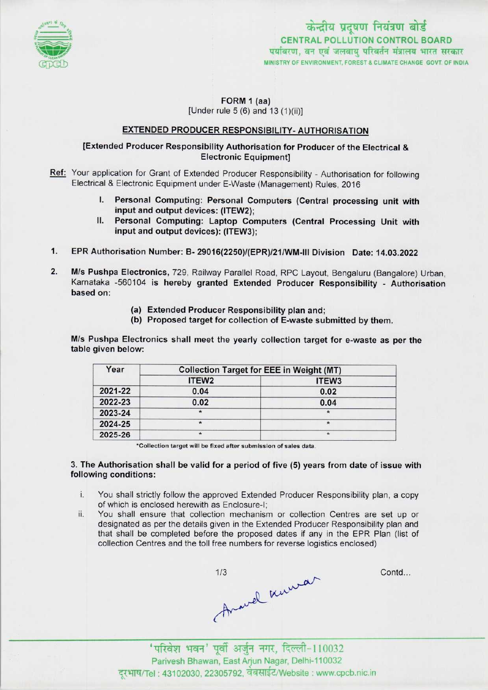

FORM 1 (aa)

[Under rule  $5(6)$  and  $13(1)(ii)$ ]

## EXTENDED PRODUCER RESPONSIBILITY- AUTHORISATION

# [Extended Producer Responsibility Authorisation for Producer of the Electrical & Electronic Equipment]

- Ref: Your application for Grant of Extended Producer Responsibility Authorisation for following Electrical & Electronic Equipment under E-Waste (Management) Rules, 2016
	- I. Personal Computing: Personal Computers (Central processing unit with input and output devices: (ITEW2);
	- II. Personal Computing: Laptop Computers (Central Processing Unit with input and output devices): (ITEW3);
- 1.EPR Authorisation Number: B- 29016(2250)/(EPR>/21/WM-!ll Division Date: 14.03.2022
- 2. M/s Pushpa Electronics, 729, Railway Parallel Road, RPC Layout, Bengaluru (Bangalore) Urban, Karnataka -560104 is hereby granted Extended Producer Responsibility - Authorisation based on:
	- (a)Extended Producer Responsibility plan and;
	- (b) Proposed target for collection of E-waste submitted by them.

M/s Pushpa Electronics shall meet the yearly collection target for e-waste as per the table given below:

| Year    | <b>Collection Target for EEE in Weight (MT)</b> |                   |  |
|---------|-------------------------------------------------|-------------------|--|
|         | ITEW <sub>2</sub>                               | ITEW <sub>3</sub> |  |
| 2021-22 | 0.04                                            | 0.02              |  |
| 2022-23 | 0.02                                            | 0.04              |  |
| 2023-24 | $\star$                                         |                   |  |
| 2024-25 | *                                               | $\star$           |  |
| 2025-26 | $\star$                                         | $\star$           |  |

\*Collection target will be fixed after submission of sales data.

#### 3. The Authorisation shall be valid for a period of five (5) years from date of issue with following conditions:

- i. You shall strictly follow the approved Extended Producer Responsibility plan, a copy of which is enclosed herewith as Enclosure-I;
- ii. You shall ensure that collection mechanism or collection Centres are set up or designated as per the details given in the Extended Producer Responsibility plan and that shall be completed before the proposed dates if any in the EPR Plan (list of collection Centres and the toll free numbers for reverse logistics enclosed)

1/3 Anowel mumar

Contd...

'परिवेश भवन' पूर्वी अर्जुन नगर, दिल्ली-110032 Parivesh Bhawan, East Arjun Nagar, Delhi-110032 दरभाष/Tel : 43102030, 22305792, वेबसाईट/Website : www.cpcb.nic.in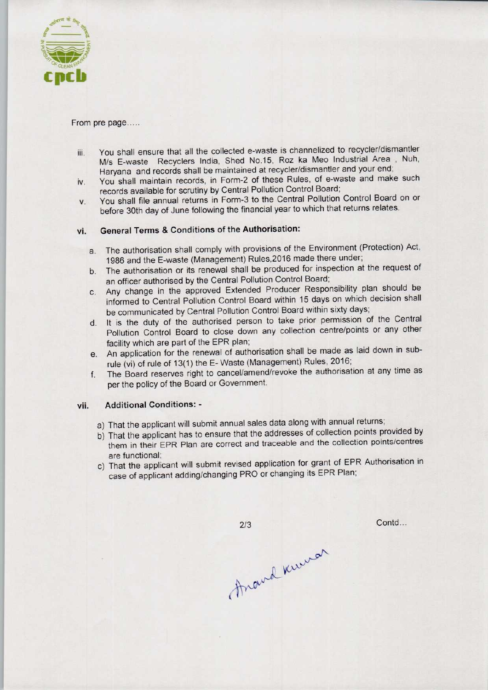

#### From pre page.....

- iii. You shall ensure that all the collected e-waste is channelized to recycler/dismantler M/s E-waste Recyclers India, Shed No.15, Roz ka Meo Industrial Area , Nuh, Haryana and records shall be maintained at recycler/dismantler and your end;
- iv. You shall maintain records, in Form-2 of these Rules, of e-waste and make such records available for scrutiny by Central Pollution Control Board;
- v. You shall file annual returns in Form-3 to the Central Pollution Control Board on or before 30th day of June following the financial year to which that returns relates.

# vi. General Terms & Conditions of the Authorisation:

- a.The authorisation shall comply with provisions of the Environment (Protection) Act, 1986 and the E-waste (Management) Rules,2016 made there under;
- b.The authorisation or its renewal shall be produced for inspection at the request of an officer authorised by the Central Pollution Control Board;
- c.Any change in the approved Extended Producer Responsibility plan should be informed to Central Pollution Control Board within 15 days on which decision shall be communicated by Central Pollution Control Board within sixty days;
- d.It is the duty of the authorised person to take prior permission of the Central Pollution Control Board to close down any collection centre/points or any other facility which are part of the EPR plan;
- e.An application for the renewal of authorisation shall be made aslaid down in subrule (vi) of rule of 13(1) the E-Waste (Management) Rules. 2016;
- f. The Board reserves right to cancel/amend/revoke the authorisation at any time as per the policy of the Board or Government.

## vii. Additional Conditions: -

- a) That the applicant will submit annual sales data along with annual returns;
- b) That the applicant has to ensure that the addresses of collection points provided by them in their EPR Plan are correct and traceable and the collection points/centres are functional;
- c) That the applicant will submit revised application for grant of EPR Authorisation in case of applicant adding/changing PRO or changing its EPR Plan;

 $2/3$ 

Contd...

Anand Knewar